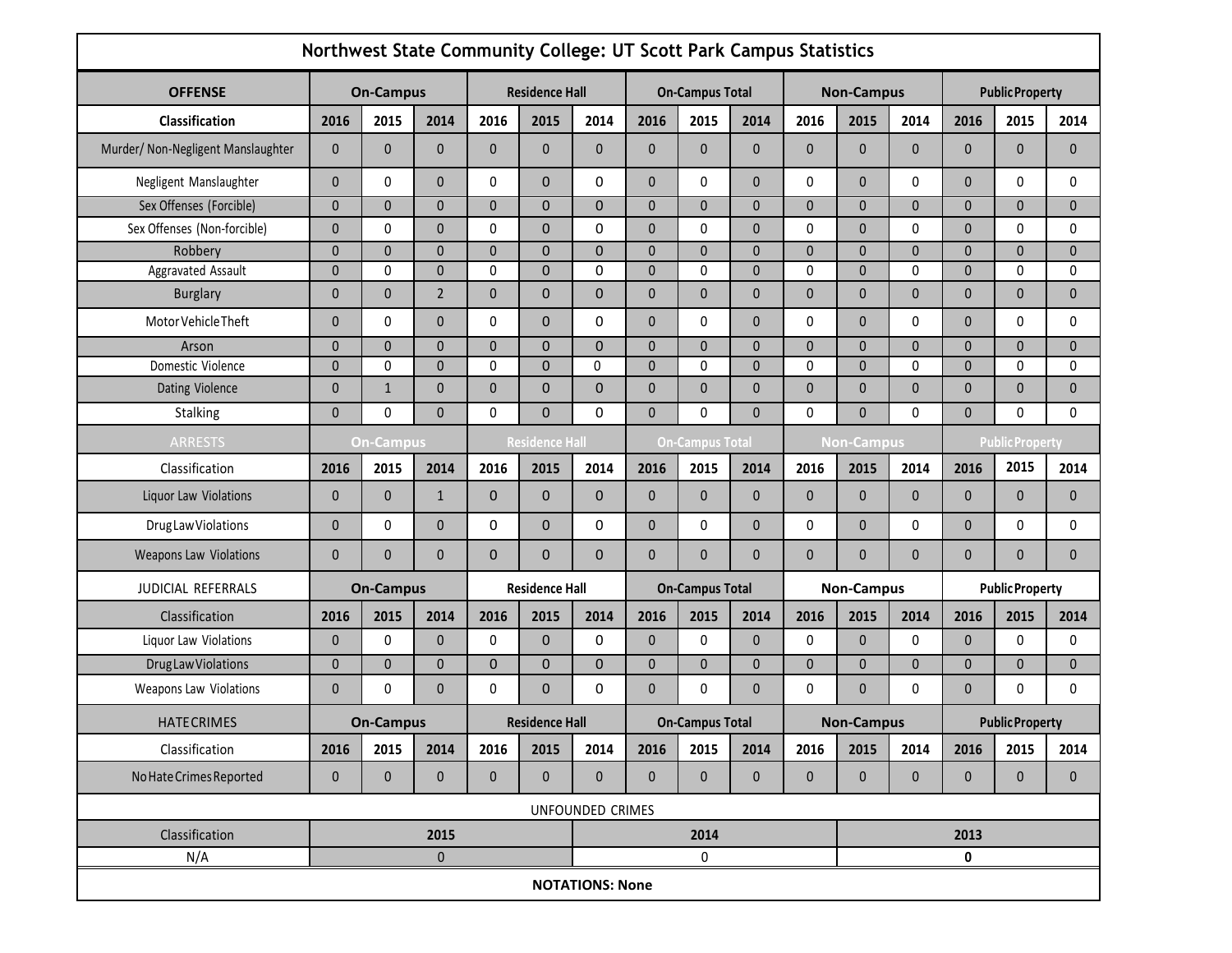| Northwest State Community College: UT Scott Park Campus Statistics |                  |                  |                |              |                       |                        |                        |                        |              |                   |                   |              |                        |                        |              |  |
|--------------------------------------------------------------------|------------------|------------------|----------------|--------------|-----------------------|------------------------|------------------------|------------------------|--------------|-------------------|-------------------|--------------|------------------------|------------------------|--------------|--|
| <b>OFFENSE</b>                                                     | <b>On-Campus</b> |                  |                |              | <b>Residence Hall</b> |                        |                        | <b>On-Campus Total</b> |              |                   | <b>Non-Campus</b> |              |                        | <b>Public Property</b> |              |  |
| Classification                                                     | 2016             | 2015             | 2014           | 2016         | 2015                  | 2014                   | 2016                   | 2015                   | 2014         | 2016              | 2015              | 2014         | 2016                   | 2015                   | 2014         |  |
| Murder/ Non-Negligent Manslaughter                                 | 0                | $\mathbf{0}$     | $\mathbf{0}$   | $\mathbf{0}$ | 0                     | $\pmb{0}$              | 0                      | $\mathbf{0}$           | $\mathbf{0}$ | $\mathbf{0}$      | $\mathbf{0}$      | $\mathbf{0}$ | 0                      | $\mathbf{0}$           | $\mathbf{0}$ |  |
| Negligent Manslaughter                                             | $\overline{0}$   | 0                | $\mathbf{0}$   | $\mathbf 0$  | $\mathbf 0$           | 0                      | 0                      | 0                      | $\mathbf{0}$ | $\mathbf{0}$      | $\mathbf{0}$      | 0            | 0                      | $\Omega$               | 0            |  |
| Sex Offenses (Forcible)                                            | $\mathbf{0}$     | $\Omega$         | $\mathbf{0}$   | $\mathbf{0}$ | $\mathbf 0$           | $\mathbf 0$            | 0                      | $\mathbf{0}$           | $\mathbf{0}$ | $\mathbf{0}$      | $\mathbf{0}$      | $\mathbf{0}$ | $\overline{0}$         | $\Omega$               | $\mathbf{0}$ |  |
| Sex Offenses (Non-forcible)                                        | $\overline{0}$   | 0                | $\mathbf{0}$   | $\mathbf 0$  | $\mathbf 0$           | 0                      | 0                      | $\mathbf{0}$           | $\mathbf{0}$ | $\mathbf{0}$      | $\mathbf{0}$      | $\mathbf{0}$ | $\Omega$               | $\Omega$               | $\mathbf{0}$ |  |
| Robbery                                                            | $\overline{0}$   | $\mathbf 0$      | $\mathbf 0$    | $\mathbf 0$  | $\mathsf{O}\xspace$   | $\pmb{0}$              | 0                      | 0                      | $\mathbf{0}$ | $\mathbf 0$       | $\mathbf{0}$      | $\mathbf{0}$ | $\overline{0}$         | $\mathbf 0$            | $\mathbf 0$  |  |
| Aggravated Assault                                                 | $\overline{0}$   | 0                | $\mathbf{0}$   | $\mathbf 0$  | $\mathbf 0$           | 0                      | 0                      | 0                      | $\mathbf{0}$ | 0                 | $\mathbf{0}$      | 0            | $\overline{0}$         | $\Omega$               | $\mathbf 0$  |  |
| <b>Burglary</b>                                                    | 0                | $\mathbf{0}$     | $\overline{2}$ | $\pmb{0}$    | $\mathbf 0$           | $\pmb{0}$              | 0                      | $\mathbf{0}$           | $\mathbf{0}$ | $\mathbf{0}$      | $\mathbf{0}$      | $\pmb{0}$    | 0                      | $\mathbf{0}$           | $\mathbf{0}$ |  |
| Motor Vehicle Theft                                                | 0                | 0                | $\mathbf{0}$   | $\mathbf 0$  | $\mathbf 0$           | 0                      | 0                      | 0                      | $\mathbf{0}$ | $\mathbf{0}$      | $\mathbf{0}$      | 0            | 0                      | $\Omega$               | 0            |  |
| Arson                                                              | $\overline{0}$   | $\mathbf{0}$     | $\mathbf{0}$   | $\mathbf 0$  | $\mathbf 0$           | $\mathbf 0$            | $\overline{0}$         | $\Omega$               | $\mathbf{0}$ | $\mathbf{0}$      | $\Omega$          | $\mathbf{0}$ | $\overline{0}$         | $\mathbf{0}$           | $\mathbf{0}$ |  |
| Domestic Violence                                                  | $\overline{0}$   | $\mathbf{0}$     | $\mathbf{0}$   | 0            | $\mathbf{0}$          | 0                      | 0                      | 0                      | $\mathbf{0}$ | 0                 | $\Omega$          | $\mathbf{0}$ | $\overline{0}$         | $\mathbf{0}$           | 0            |  |
| Dating Violence                                                    | 0                | $\mathbf{1}$     | $\mathbf{0}$   | $\pmb{0}$    | $\mathbf 0$           | $\pmb{0}$              | 0                      | $\mathbf{0}$           | $\mathbf{0}$ | $\mathbf{0}$      | $\mathbf{0}$      | $\mathbf{0}$ | 0                      | $\mathbf{0}$           | $\mathbf{0}$ |  |
| Stalking                                                           | $\mathbf{0}$     | $\mathbf{0}$     | $\mathbf{0}$   | $\mathbf 0$  | $\mathbf{0}$          | 0                      | $\overline{0}$         | $\mathbf{0}$           | $\Omega$     | $\mathbf 0$       | $\Omega$          | $\mathbf{0}$ | $\overline{0}$         | $\mathbf{0}$           | $\mathbf{0}$ |  |
| <b>ARRESTS</b>                                                     |                  | <b>On-Campus</b> |                |              | <b>Residence Hall</b> |                        | <b>On-Campus Total</b> |                        |              | <b>Non-Campus</b> |                   |              | <b>Public Property</b> |                        |              |  |
| Classification                                                     | 2016             | 2015             | 2014           | 2016         | 2015                  | 2014                   | 2016                   | 2015                   | 2014         | 2016              | 2015              | 2014         | 2016                   | 2015                   | 2014         |  |
| Liquor Law Violations                                              | $\mathbf{0}$     | $\Omega$         | $\mathbf{1}$   | $\mathbf 0$  | $\mathbf 0$           | $\pmb{0}$              | 0                      | $\mathbf{0}$           | $\mathbf{0}$ | $\mathbf{0}$      | $\mathbf 0$       | $\mathbf{0}$ | 0                      | $\mathbf{0}$           | $\mathbf{0}$ |  |
| Drug Law Violations                                                | $\overline{0}$   | 0                | $\mathbf{0}$   | 0            | $\mathbf 0$           | 0                      | 0                      | 0                      | $\mathbf{0}$ | $\mathbf 0$       | $\mathbf{0}$      | 0            | 0                      | $\mathbf{0}$           | 0            |  |
| <b>Weapons Law Violations</b>                                      | $\mathbf{0}$     | $\mathbf{0}$     | $\mathbf{0}$   | $\mathbf{0}$ | $\mathbf 0$           | $\pmb{0}$              | 0                      | $\Omega$               | $\mathbf{0}$ | $\mathbf{0}$      | $\mathbf{0}$      | $\mathbf{0}$ | 0                      | $\mathbf{0}$           | $\mathbf{0}$ |  |
| <b>JUDICIAL REFERRALS</b>                                          |                  | <b>On-Campus</b> |                |              | <b>Residence Hall</b> |                        |                        | <b>On-Campus Total</b> |              | <b>Non-Campus</b> |                   |              | <b>Public Property</b> |                        |              |  |
| Classification                                                     | 2016             | 2015             | 2014           | 2016         | 2015                  | 2014                   | 2016                   | 2015                   | 2014         | 2016              | 2015              | 2014         | 2016                   | 2015                   | 2014         |  |
| Liquor Law Violations                                              | 0                | 0                | $\mathbf 0$    | 0            | $\mathbf 0$           | 0                      | 0                      | 0                      | $\mathbf{0}$ | 0                 | $\mathbf{0}$      | 0            | 0                      | 0                      | 0            |  |
| Drug Law Violations                                                | $\overline{0}$   | $\Omega$         | $\mathbf 0$    | $\mathbf 0$  | $\mathbf 0$           | $\mathbf 0$            | 0                      | $\overline{0}$         | $\mathbf{0}$ | $\mathbf 0$       | $\mathbf 0$       | $\pmb{0}$    | 0                      | $\Omega$               | $\mathbf 0$  |  |
| <b>Weapons Law Violations</b>                                      | 0                | 0                | $\mathbf{0}$   | 0            | $\overline{0}$        | 0                      | 0                      | 0                      | $\mathbf{0}$ | 0                 | $\mathbf{0}$      | 0            | 0                      | 0                      | 0            |  |
| <b>HATECRIMES</b>                                                  |                  | <b>On-Campus</b> |                |              | <b>Residence Hall</b> |                        | <b>On-Campus Total</b> |                        |              | <b>Non-Campus</b> |                   |              | <b>Public Property</b> |                        |              |  |
| Classification                                                     | 2016             | 2015             | 2014           | 2016         | 2015                  | 2014                   | 2016                   | 2015                   | 2014         | 2016              | 2015              | 2014         | 2016                   | 2015                   | 2014         |  |
| No Hate Crimes Reported                                            | 0                | $\mathbf 0$      | $\mathbf 0$    | $\mathbf 0$  | 0                     | $\pmb{0}$              | $\mathbf{0}$           | $\mathbf 0$            | $\pmb{0}$    | $\pmb{0}$         | $\mathbf 0$       | $\mathbf 0$  | $\mathbf{0}$           | $\mathbf 0$            | $\mathbf 0$  |  |
| UNFOUNDED CRIMES                                                   |                  |                  |                |              |                       |                        |                        |                        |              |                   |                   |              |                        |                        |              |  |
| Classification                                                     | 2015             |                  |                |              |                       |                        | 2014                   |                        |              |                   |                   | 2013         |                        |                        |              |  |
| N/A                                                                |                  |                  | $\pmb{0}$      |              |                       | 0<br>0                 |                        |                        |              |                   |                   |              |                        |                        |              |  |
|                                                                    |                  |                  |                |              |                       | <b>NOTATIONS: None</b> |                        |                        |              |                   |                   |              |                        |                        |              |  |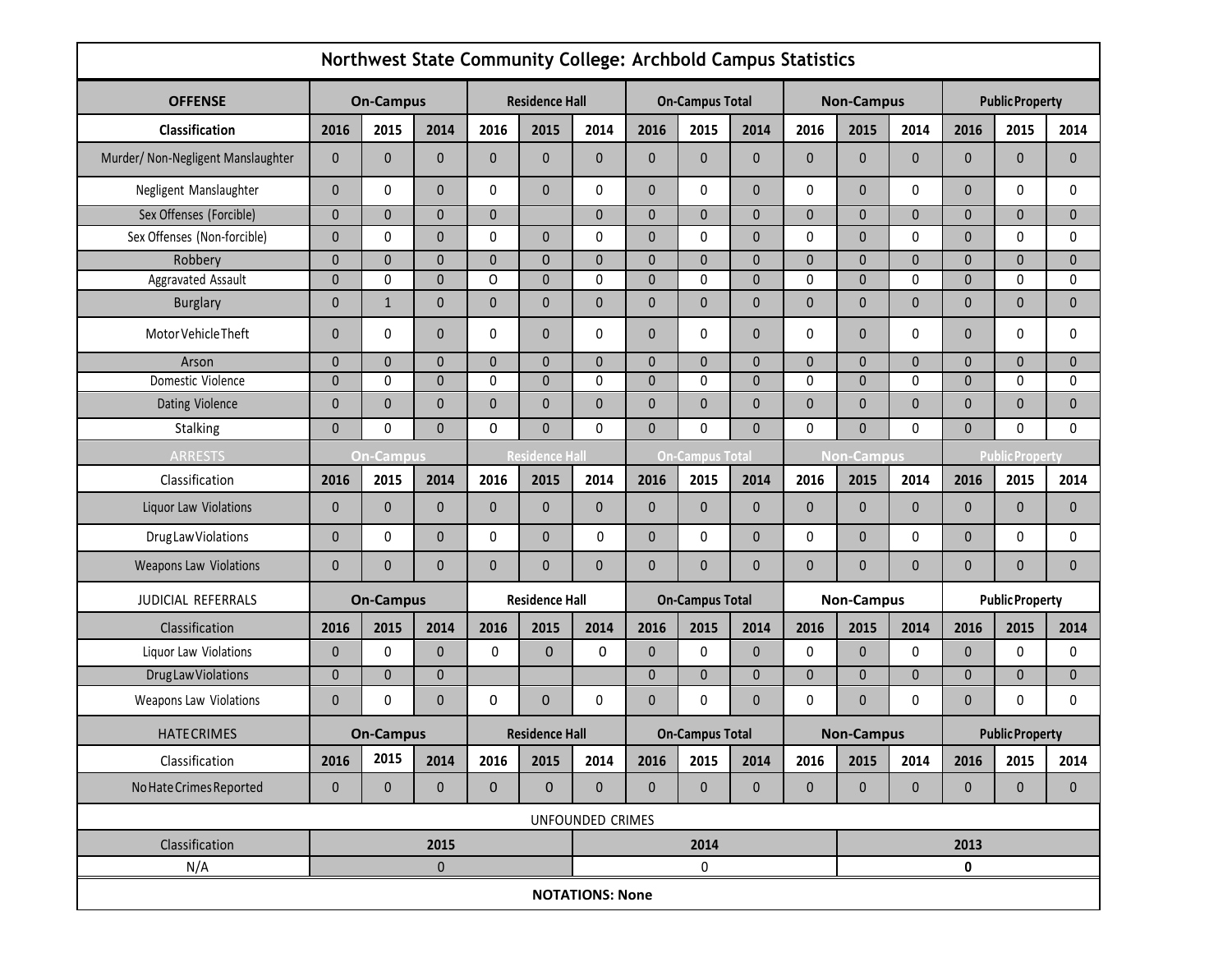| Northwest State Community College: Archbold Campus Statistics |                  |                  |              |                       |                       |                        |                        |              |              |                   |              |              |                        |              |              |
|---------------------------------------------------------------|------------------|------------------|--------------|-----------------------|-----------------------|------------------------|------------------------|--------------|--------------|-------------------|--------------|--------------|------------------------|--------------|--------------|
| <b>OFFENSE</b>                                                | <b>On-Campus</b> |                  |              | <b>Residence Hall</b> |                       |                        | <b>On-Campus Total</b> |              |              | <b>Non-Campus</b> |              |              | <b>Public Property</b> |              |              |
| Classification                                                | 2016             | 2015             | 2014         | 2016                  | 2015                  | 2014                   | 2016                   | 2015         | 2014         | 2016              | 2015         | 2014         | 2016                   | 2015         | 2014         |
| Murder/ Non-Negligent Manslaughter                            | $\mathbf{0}$     | $\mathbf{0}$     | $\mathbf{0}$ | $\pmb{0}$             | $\mathbf{0}$          | $\pmb{0}$              | 0                      | $\mathbf{0}$ | $\mathbf{0}$ | $\mathbf{0}$      | $\mathbf{0}$ | $\mathbf{0}$ | $\mathbf{0}$           | $\mathbf{0}$ | $\mathbf{0}$ |
| Negligent Manslaughter                                        | $\mathbf{0}$     | $\Omega$         | $\mathbf{0}$ | 0                     | $\mathbf{0}$          | 0                      | 0                      | $\Omega$     | $\mathbf{0}$ | 0                 | $\mathbf{0}$ | $\mathbf{0}$ | $\mathbf{0}$           | $\mathbf{0}$ | 0            |
| Sex Offenses (Forcible)                                       | $\mathbf 0$      | $\mathbf{0}$     | $\mathbf 0$  | $\pmb{0}$             |                       | $\mathbf 0$            | $\mathbf 0$            | $\mathbf{0}$ | $\mathbf{0}$ | $\mathbf{0}$      | $\mathbf 0$  | $\mathbf 0$  | $\mathbf{0}$           | $\mathbf{0}$ | $\pmb{0}$    |
| Sex Offenses (Non-forcible)                                   | $\mathbf{0}$     | $\Omega$         | $\mathbf{0}$ | 0                     | $\mathbf{0}$          | $\pmb{0}$              | $\mathbf{0}$           | $\Omega$     | $\mathbf{0}$ | $\mathbf{0}$      | $\mathbf{0}$ | $\mathbf{0}$ | $\mathbf{0}$           | $\mathbf{0}$ | 0            |
| Robbery                                                       | $\mathbf{0}$     | $\mathbf{0}$     | $\mathbf{0}$ | $\pmb{0}$             | $\mathbf 0$           | $\pmb{0}$              | 0                      | $\mathbf{0}$ | $\mathbf{0}$ | $\mathbf{0}$      | $\mathbf{0}$ | $\mathbf{0}$ | $\Omega$               | $\mathbf{0}$ | $\mathbf 0$  |
| Aggravated Assault                                            | 0                | 0                | $\mathbf{0}$ | 0                     | $\pmb{0}$             | 0                      | 0                      | 0            | $\mathbf{0}$ | 0                 | $\mathbf 0$  | 0            | $\Omega$               | $\mathbf{0}$ | 0            |
| <b>Burglary</b>                                               | 0                | $\mathbf{1}$     | $\mathbf 0$  | $\pmb{0}$             | 0                     | $\pmb{0}$              | 0                      | $\mathbf{0}$ | $\mathbf{0}$ | $\mathbf{0}$      | $\mathbf{0}$ | $\mathbf{0}$ | $\mathbf{0}$           | $\mathbf{0}$ | $\pmb{0}$    |
| Motor Vehicle Theft                                           | $\mathbf{0}$     | 0                | $\mathbf{0}$ | 0                     | 0                     | 0                      | 0                      | 0            | $\mathbf{0}$ | 0                 | $\mathbf{0}$ | 0            | $\Omega$               | $\mathbf{0}$ | 0            |
| Arson                                                         | $\mathbf{0}$     | $\Omega$         | $\mathbf{0}$ | $\mathbf{0}$          | $\mathbf{0}$          | $\pmb{0}$              | 0                      | $\mathbf{0}$ | $\mathbf{0}$ | $\mathbf{0}$      | $\mathbf{0}$ | $\mathbf{0}$ | $\mathbf{0}$           | $\mathbf{0}$ | $\mathbf{0}$ |
| Domestic Violence                                             | 0                | $\Omega$         | $\mathbf 0$  | 0                     | $\pmb{0}$             | $\pmb{0}$              | 0                      | 0            | $\mathbf{0}$ | 0                 | $\Omega$     | 0            | $\Omega$               | $\mathbf{0}$ | 0            |
| Dating Violence                                               | $\mathbf{0}$     | $\mathbf{0}$     | $\mathbf{0}$ | $\pmb{0}$             | $\pmb{0}$             | $\pmb{0}$              | 0                      | $\mathbf{0}$ | $\mathbf{0}$ | $\mathbf{0}$      | $\mathbf{0}$ | $\mathbf{0}$ | $\mathbf{0}$           | $\mathbf{0}$ | $\mathbf{0}$ |
| Stalking                                                      | $\mathbf{0}$     | $\mathbf{0}$     | $\Omega$     | 0                     | $\mathbf 0$           | 0                      | 0                      | 0            | $\mathbf{0}$ | 0                 | $\mathbf{0}$ | $\mathbf{0}$ | $\mathbf 0$            | $\mathbf{0}$ | $\mathbf{0}$ |
| <b>ARRESTS</b>                                                |                  | <b>On-Campus</b> |              |                       | <b>Residence Hall</b> | <b>On-Campus Total</b> |                        |              |              | <b>Non-Campus</b> |              |              | <b>Public Property</b> |              |              |
| Classification                                                | 2016             | 2015             | 2014         | 2016                  | 2015                  | 2014                   | 2016                   | 2015         | 2014         | 2016              | 2015         | 2014         | 2016                   | 2015         | 2014         |
| Liquor Law Violations                                         | $\mathbf 0$      | $\mathbf{0}$     | $\mathbf{0}$ | $\mathbf 0$           | $\mathbf{0}$          | $\pmb{0}$              | 0                      | $\mathbf{0}$ | $\mathbf{0}$ | $\mathbf{0}$      | $\mathbf{0}$ | $\mathbf{0}$ | $\mathbf{0}$           | $\mathbf{0}$ | $\pmb{0}$    |
| Drug Law Violations                                           | $\mathbf{0}$     | 0                | $\mathbf{0}$ | 0                     | $\pmb{0}$             | 0                      | 0                      | 0            | $\mathbf{0}$ | $\mathbf 0$       | $\mathbf{0}$ | 0            | $\mathbf{0}$           | 0            | 0            |
| Weapons Law Violations                                        | $\mathbf 0$      | $\mathbf{0}$     | $\mathbf{0}$ | $\pmb{0}$             | 0                     | $\mathbf{0}$           | 0                      | 0            | $\mathbf{0}$ | $\mathbf{0}$      | $\mathbf{0}$ | $\mathbf{0}$ | $\mathbf{0}$           | $\mathbf{0}$ | $\mathbf{0}$ |
| JUDICIAL REFERRALS                                            |                  | <b>On-Campus</b> |              |                       | <b>Residence Hall</b> |                        | <b>On-Campus Total</b> |              |              | <b>Non-Campus</b> |              |              | <b>Public Property</b> |              |              |
| Classification                                                | 2016             | 2015             | 2014         | 2016                  | 2015                  | 2014                   | 2016                   | 2015         | 2014         | 2016              | 2015         | 2014         | 2016                   | 2015         | 2014         |
| Liquor Law Violations                                         | $\mathbf{0}$     | $\mathbf{0}$     | $\mathbf 0$  | 0                     | $\mathbf{0}$          | 0                      | 0                      | 0            | $\mathbf{0}$ | 0                 | $\mathbf{0}$ | 0            | $\mathbf{0}$           | $\mathbf{0}$ | 0            |
| <b>DrugLawViolations</b>                                      | $\mathbf{0}$     | $\mathbf{0}$     | $\pmb{0}$    |                       |                       |                        | 0                      | $\mathbf{0}$ | $\mathbf{0}$ | $\mathbf{0}$      | $\mathbf{0}$ | $\mathbf{0}$ | $\mathbf{0}$           | $\mathbf{0}$ | $\mathbf{0}$ |
| Weapons Law Violations                                        | $\mathbf{0}$     | $\mathbf{0}$     | $\mathbf{0}$ | 0                     | $\mathbf{0}$          | 0                      | $\mathbf{0}$           | $\mathbf{0}$ | $\mathbf{0}$ | 0                 | $\mathbf{0}$ | $\mathbf{0}$ | $\mathbf{0}$           | $\Omega$     | $\mathbf{0}$ |
| <b>HATECRIMES</b>                                             |                  | <b>On-Campus</b> |              |                       | <b>Residence Hall</b> |                        | <b>On-Campus Total</b> |              |              | <b>Non-Campus</b> |              |              | <b>Public Property</b> |              |              |
| Classification                                                | 2016             | 2015             | 2014         | 2016                  | 2015                  | 2014                   | 2016                   | 2015         | 2014         | 2016              | 2015         | 2014         | 2016                   | 2015         | 2014         |
| No Hate Crimes Reported                                       | $\mathbf 0$      | $\mathbf 0$      | $\pmb{0}$    | $\mathbf 0$           | $\mathbf 0$           | $\pmb{0}$              | $\mathbf 0$            | $\mathbf{0}$ | $\mathbf 0$  | $\mathbf{0}$      | $\mathbf 0$  | $\mathbf{0}$ | $\mathbf{0}$           | $\mathbf{0}$ | $\mathbf 0$  |
| UNFOUNDED CRIMES                                              |                  |                  |              |                       |                       |                        |                        |              |              |                   |              |              |                        |              |              |
| Classification                                                |                  |                  | 2015         |                       |                       |                        |                        | 2014         |              |                   | 2013         |              |                        |              |              |
| N/A                                                           |                  |                  |              |                       | 0                     |                        |                        | 0            |              |                   |              |              |                        |              |              |
|                                                               |                  |                  |              |                       |                       | <b>NOTATIONS: None</b> |                        |              |              |                   |              |              |                        |              |              |